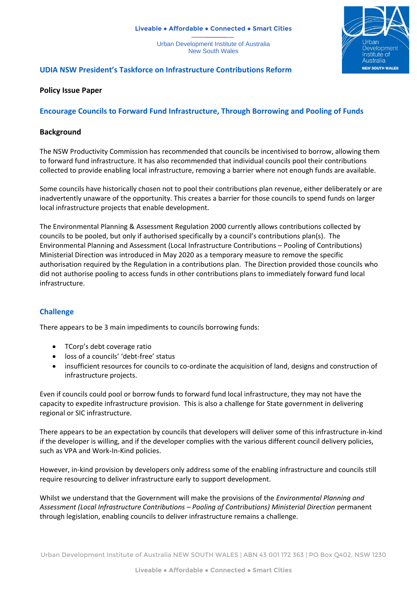#### **Liveable ● Affordable ● Connected ● Smart Cities**

Urban Development Institute of Australia New South Wales



# **UDIA NSW President's Taskforce on Infrastructure Contributions Reform**

### **Policy Issue Paper**

## **Encourage Councils to Forward Fund Infrastructure, Through Borrowing and Pooling of Funds**

### **Background**

The NSW Productivity Commission has recommended that councils be incentivised to borrow, allowing them to forward fund infrastructure. It has also recommended that individual councils pool their contributions collected to provide enabling local infrastructure, removing a barrier where not enough funds are available.

Some councils have historically chosen not to pool their contributions plan revenue, either deliberately or are inadvertently unaware of the opportunity. This creates a barrier for those councils to spend funds on larger local infrastructure projects that enable development.

The Environmental Planning & Assessment Regulation 2000 currently allows contributions collected by councils to be pooled, but only if authorised specifically by a council's contributions plan(s). The Environmental Planning and Assessment (Local Infrastructure Contributions – Pooling of Contributions) Ministerial Direction was introduced in May 2020 as a temporary measure to remove the specific authorisation required by the Regulation in a contributions plan. The Direction provided those councils who did not authorise pooling to access funds in other contributions plans to immediately forward fund local infrastructure.

### **Challenge**

There appears to be 3 main impediments to councils borrowing funds:

- TCorp's debt coverage ratio
- loss of a councils' 'debt-free' status
- insufficient resources for councils to co-ordinate the acquisition of land, designs and construction of infrastructure projects.

Even if councils could pool or borrow funds to forward fund local infrastructure, they may not have the capacity to expedite infrastructure provision. This is also a challenge for State government in delivering regional or SIC infrastructure.

There appears to be an expectation by councils that developers will deliver some of this infrastructure in-kind if the developer is willing, and if the developer complies with the various different council delivery policies, such as VPA and Work-In-Kind policies.

However, in-kind provision by developers only address some of the enabling infrastructure and councils still require resourcing to deliver infrastructure early to support development.

Whilst we understand that the Government will make the provisions of the *Environmental Planning and Assessment (Local Infrastructure Contributions – Pooling of Contributions) Ministerial Direction* permanent through legislation, enabling councils to deliver infrastructure remains a challenge.